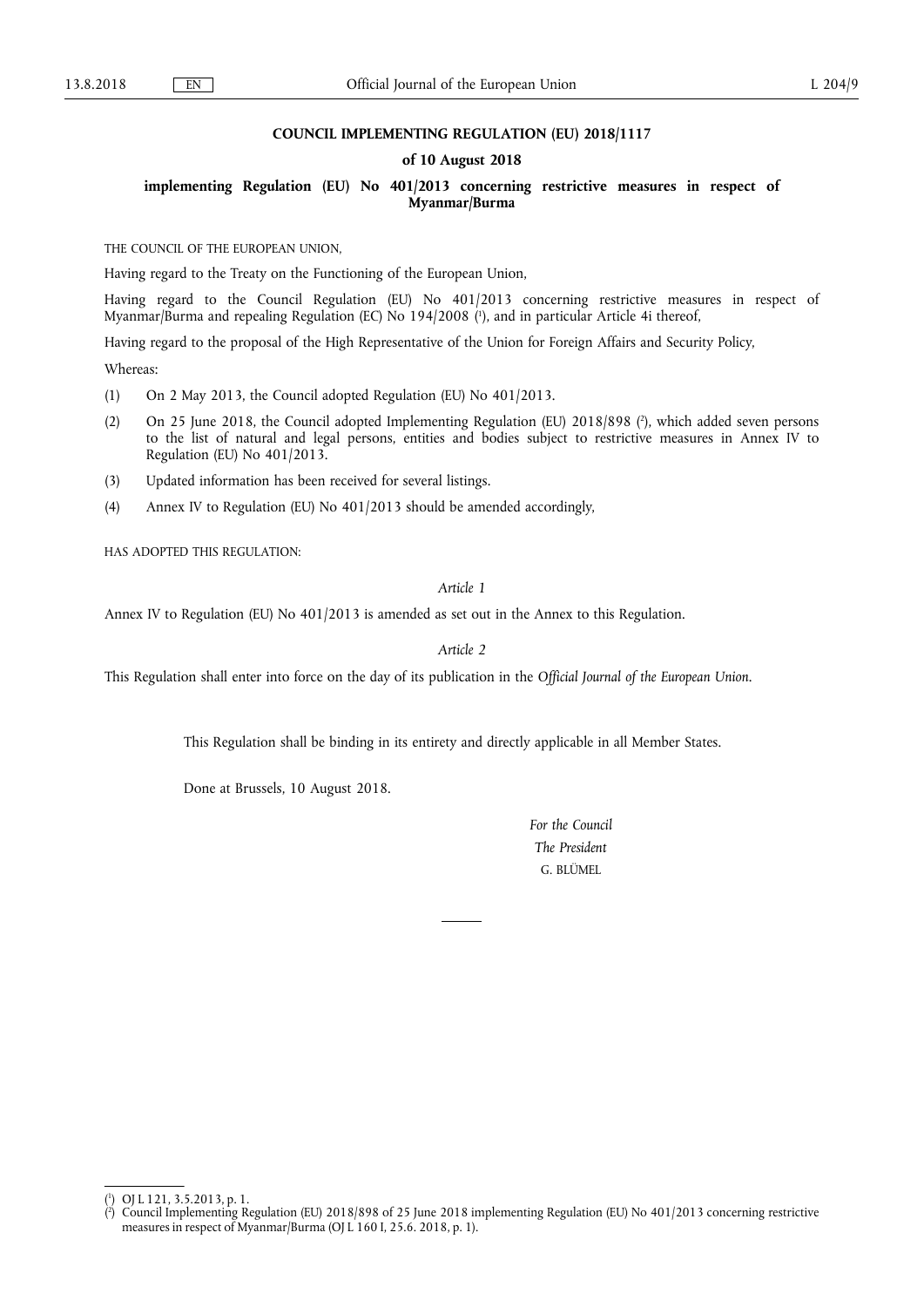## **COUNCIL IMPLEMENTING REGULATION (EU) 2018/1117**

## **of 10 August 2018**

**implementing Regulation (EU) No 401/2013 concerning restrictive measures in respect of Myanmar/Burma** 

THE COUNCIL OF THE EUROPEAN UNION,

Having regard to the Treaty on the Functioning of the European Union,

Having regard to the Council Regulation (EU) No 401/2013 concerning restrictive measures in respect of Myanmar/Burma and repealing Regulation (EC) No 194/2008 ( 1 ), and in particular Article 4i thereof,

Having regard to the proposal of the High Representative of the Union for Foreign Affairs and Security Policy,

Whereas:

- (1) On 2 May 2013, the Council adopted Regulation (EU) No 401/2013.
- (2) On 25 June 2018, the Council adopted Implementing Regulation (EU) 2018/898 ( 2 ), which added seven persons to the list of natural and legal persons, entities and bodies subject to restrictive measures in Annex IV to Regulation (EU) No 401/2013.
- (3) Updated information has been received for several listings.
- (4) Annex IV to Regulation (EU) No 401/2013 should be amended accordingly,

HAS ADOPTED THIS REGULATION:

## *Article 1*

Annex IV to Regulation (EU) No 401/2013 is amended as set out in the Annex to this Regulation.

*Article 2* 

This Regulation shall enter into force on the day of its publication in the *Official Journal of the European Union*.

This Regulation shall be binding in its entirety and directly applicable in all Member States.

Done at Brussels, 10 August 2018.

*For the Council The President*  G. BLÜMEL

( 1 ) OJ L 121, 3.5.2013, p. 1.

<sup>(</sup> 2 ) Council Implementing Regulation (EU) 2018/898 of 25 June 2018 implementing Regulation (EU) No 401/2013 concerning restrictive measures in respect of Myanmar/Burma (OJ L 160 I, 25.6. 2018, p. 1).